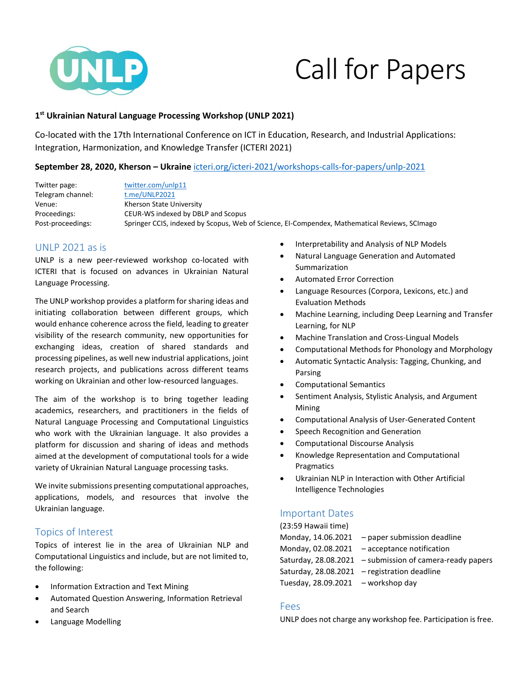

# Call for Papers

# **1 st Ukrainian Natural Language Processing Workshop (UNLP 2021)**

Co-located with the 17th International Conference on ICT in Education, Research, and Industrial Applications: Integration, Harmonization, and Knowledge Transfer (ICTERI 2021)

### **September 28, 2020, Kherson – Ukraine** [icteri.org/icteri-2021/workshops-calls-for-papers/unlp-2021](https://icteri.org/icteri-2021/workshops-calls-for-papers/unlp-2021)

Twitter page: [twitter.com/unlp11](https://twitter.com/unlp11) Telegram channel: [t.me/UNLP2021](https://t.me/UNLP2021) Venue: Kherson State University Proceedings: CEUR-WS indexed by DBLP and Scopus Post-proceedings: Springer CCIS, indexed by Scopus, Web of Science, EI-Compendex, Mathematical Reviews, SCImago

# UNLP 2021 as is

UNLP is a new peer-reviewed workshop co-located with ICTERI that is focused on advances in Ukrainian Natural Language Processing.

The UNLP workshop provides a platform for sharing ideas and initiating collaboration between different groups, which would enhance coherence across the field, leading to greater visibility of the research community, new opportunities for exchanging ideas, creation of shared standards and processing pipelines, as well new industrial applications, joint research projects, and publications across different teams working on Ukrainian and other low-resourced languages.

The aim of the workshop is to bring together leading academics, researchers, and practitioners in the fields of Natural Language Processing and Computational Linguistics who work with the Ukrainian language. It also provides a platform for discussion and sharing of ideas and methods aimed at the development of computational tools for a wide variety of Ukrainian Natural Language processing tasks.

We invite submissions presenting computational approaches, applications, models, and resources that involve the Ukrainian language.

# Topics of Interest

Topics of interest lie in the area of Ukrainian NLP and Computational Linguistics and include, but are not limited to, the following:

- Information Extraction and Text Mining
- Automated Question Answering, Information Retrieval and Search
- Language Modelling
- **•** Interpretability and Analysis of NLP Models
- Natural Language Generation and Automated Summarization
- Automated Error Correction
- Language Resources (Corpora, Lexicons, etc.) and Evaluation Methods
- Machine Learning, including Deep Learning and Transfer Learning, for NLP
- Machine Translation and Cross-Lingual Models
- Computational Methods for Phonology and Morphology
- Automatic Syntactic Analysis: Tagging, Chunking, and Parsing
- Computational Semantics
- Sentiment Analysis, Stylistic Analysis, and Argument Mining
- Computational Analysis of User-Generated Content
- Speech Recognition and Generation
- Computational Discourse Analysis
- Knowledge Representation and Computational Pragmatics
- Ukrainian NLP in Interaction with Other Artificial Intelligence Technologies

## Important Dates

(23:59 Hawaii time) Monday, 14.06.2021 – paper submission deadline Monday, 02.08.2021 – acceptance notification Saturday, 28.08.2021 – submission of camera-ready papers Saturday, 28.08.2021 – registration deadline Tuesday,  $28.09.2021 -$  workshop day

#### Fees

UNLP does not charge any workshop fee. Participation is free.